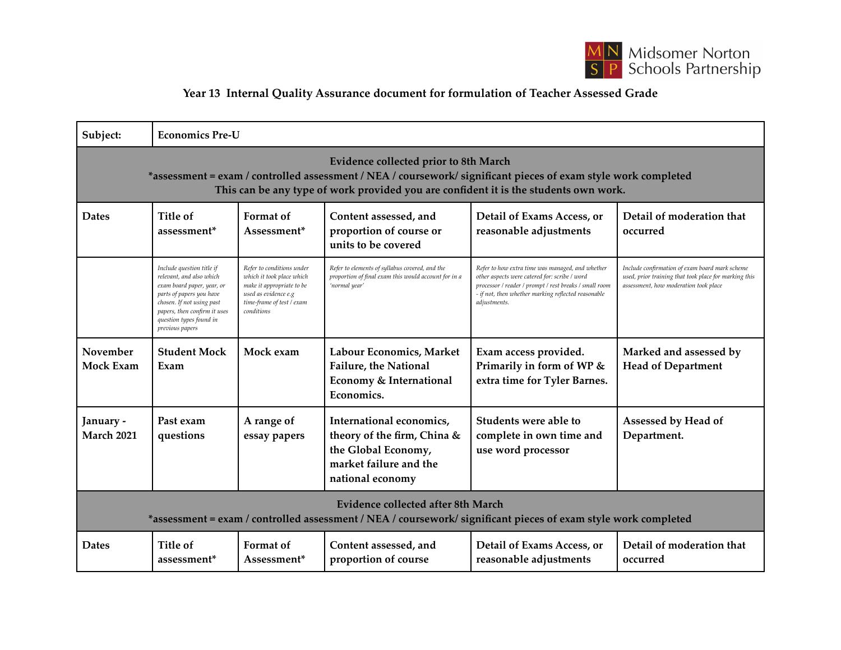

## **Year 13 Internal Quality Assurance document for formulation of Teacher Assessed Grade**

| Subject:                                                                                                                                                                                                                                        | <b>Economics Pre-U</b>                                                                                                                                                                                                     |                                                                                                                                                        |                                                                                                                              |                                                                                                                                                                                                                                    |                                                                                                                                                  |  |  |  |  |
|-------------------------------------------------------------------------------------------------------------------------------------------------------------------------------------------------------------------------------------------------|----------------------------------------------------------------------------------------------------------------------------------------------------------------------------------------------------------------------------|--------------------------------------------------------------------------------------------------------------------------------------------------------|------------------------------------------------------------------------------------------------------------------------------|------------------------------------------------------------------------------------------------------------------------------------------------------------------------------------------------------------------------------------|--------------------------------------------------------------------------------------------------------------------------------------------------|--|--|--|--|
| Evidence collected prior to 8th March<br>*assessment = exam / controlled assessment / NEA / coursework/ significant pieces of exam style work completed<br>This can be any type of work provided you are confident it is the students own work. |                                                                                                                                                                                                                            |                                                                                                                                                        |                                                                                                                              |                                                                                                                                                                                                                                    |                                                                                                                                                  |  |  |  |  |
| <b>Dates</b>                                                                                                                                                                                                                                    | Title of<br>assessment <sup>*</sup>                                                                                                                                                                                        | Format of<br>Assessment*                                                                                                                               | Content assessed, and<br>proportion of course or<br>units to be covered                                                      | Detail of Exams Access, or<br>reasonable adjustments                                                                                                                                                                               | Detail of moderation that<br>occurred                                                                                                            |  |  |  |  |
|                                                                                                                                                                                                                                                 | Include question title if<br>relevant, and also which<br>exam board paper, year, or<br>parts of papers you have<br>chosen. If not using past<br>papers, then confirm it uses<br>question types found in<br>previous papers | Refer to conditions under<br>which it took place which<br>make it appropriate to be<br>used as evidence e.g<br>time-frame of test / exam<br>conditions | Refer to elements of syllabus covered, and the<br>proportion of final exam this would account for in a<br>'normal year'      | Refer to how extra time was managed, and whether<br>other aspects were catered for: scribe / word<br>processor / reader / prompt / rest breaks / small room<br>- if not, then whether marking reflected reasonable<br>adjustments. | Include confirmation of exam board mark scheme<br>used, prior training that took place for marking this<br>assessment, how moderation took place |  |  |  |  |
| November<br><b>Mock Exam</b>                                                                                                                                                                                                                    | <b>Student Mock</b><br>Exam                                                                                                                                                                                                | Mock exam                                                                                                                                              | Labour Economics, Market<br><b>Failure</b> , the National<br>Economy & International<br>Economics.                           | Exam access provided.<br>Primarily in form of WP &<br>extra time for Tyler Barnes.                                                                                                                                                 | Marked and assessed by<br><b>Head of Department</b>                                                                                              |  |  |  |  |
| January -<br><b>March 2021</b>                                                                                                                                                                                                                  | Past exam<br>questions                                                                                                                                                                                                     | A range of<br>essay papers                                                                                                                             | International economics,<br>theory of the firm, China &<br>the Global Economy,<br>market failure and the<br>national economy | Students were able to<br>complete in own time and<br>use word processor                                                                                                                                                            | Assessed by Head of<br>Department.                                                                                                               |  |  |  |  |
| <b>Evidence collected after 8th March</b><br>*assessment = exam / controlled assessment / NEA / coursework/ significant pieces of exam style work completed                                                                                     |                                                                                                                                                                                                                            |                                                                                                                                                        |                                                                                                                              |                                                                                                                                                                                                                                    |                                                                                                                                                  |  |  |  |  |
| <b>Dates</b>                                                                                                                                                                                                                                    | Title of<br>assessment*                                                                                                                                                                                                    | Format of<br>Assessment*                                                                                                                               | Content assessed, and<br>proportion of course                                                                                | Detail of Exams Access, or<br>reasonable adjustments                                                                                                                                                                               | Detail of moderation that<br>occurred                                                                                                            |  |  |  |  |